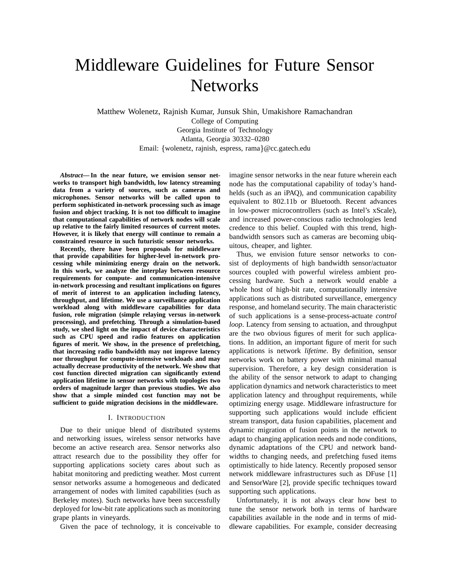# Middleware Guidelines for Future Sensor **Networks**

Matthew Wolenetz, Rajnish Kumar, Junsuk Shin, Umakishore Ramachandran College of Computing Georgia Institute of Technology Atlanta, Georgia 30332–0280 Email: {wolenetz, rajnish, espress, rama}@cc.gatech.edu

*Abstract***— In the near future, we envision sensor networks to transport high bandwidth, low latency streaming data from a variety of sources, such as cameras and microphones. Sensor networks will be called upon to perform sophisticated in-network processing such as image fusion and object tracking. It is not too difficult to imagine that computational capabilities of network nodes will scale up relative to the fairly limited resources of current motes. However, it is likely that energy will continue to remain a constrained resource in such futuristic sensor networks.**

**Recently, there have been proposals for middleware that provide capabilities for higher-level in-network processing while minimizing energy drain on the network. In this work, we analyze the interplay between resource requirements for compute- and communication-intensive in-network processing and resultant implications on figures of merit of interest to an application including latency, throughput, and lifetime. We use a surveillance application workload along with middleware capabilities for data fusion, role migration (simple relaying versus in-network processing), and prefetching. Through a simulation-based study, we shed light on the impact of device characteristics such as CPU speed and radio features on application figures of merit. We show, in the presence of prefetching, that increasing radio bandwidth may not improve latency nor throughput for compute-intensive workloads and may actually decrease productivity of the network. We show that cost function directed migration can significantly extend application lifetime in sensor networks with topologies two orders of magnitude larger than previous studies. We also show that a simple minded cost function may not be sufficient to guide migration decisions in the middleware.**

### I. INTRODUCTION

Due to their unique blend of distributed systems and networking issues, wireless sensor networks have become an active research area. Sensor networks also attract research due to the possibility they offer for supporting applications society cares about such as habitat monitoring and predicting weather. Most current sensor networks assume a homogeneous and dedicated arrangement of nodes with limited capabilities (such as Berkeley motes). Such networks have been successfully deployed for low-bit rate applications such as monitoring grape plants in vineyards.

Given the pace of technology, it is conceivable to

imagine sensor networks in the near future wherein each node has the computational capability of today's handhelds (such as an iPAQ), and communication capability equivalent to 802.11b or Bluetooth. Recent advances in low-power microcontrollers (such as Intel's xScale), and increased power-conscious radio technologies lend credence to this belief. Coupled with this trend, highbandwidth sensors such as cameras are becoming ubiquitous, cheaper, and lighter.

Thus, we envision future sensor networks to consist of deployments of high bandwidth sensor/actuator sources coupled with powerful wireless ambient processing hardware. Such a network would enable a whole host of high-bit rate, computationally intensive applications such as distributed surveillance, emergency response, and homeland security. The main characteristic of such applications is a sense-process-actuate *control loop*. Latency from sensing to actuation, and throughput are the two obvious figures of merit for such applications. In addition, an important figure of merit for such applications is network *lifetime*. By definition, sensor networks work on battery power with minimal manual supervision. Therefore, a key design consideration is the ability of the sensor network to adapt to changing application dynamics and network characteristics to meet application latency and throughput requirements, while optimizing energy usage. Middleware infrastructure for supporting such applications would include efficient stream transport, data fusion capabilities, placement and dynamic migration of fusion points in the network to adapt to changing application needs and node conditions, dynamic adaptations of the CPU and network bandwidths to changing needs, and prefetching fused items optimistically to hide latency. Recently proposed sensor network middleware infrastructures such as DFuse [1] and SensorWare [2], provide specific techniques toward supporting such applications.

Unfortunately, it is not always clear how best to tune the sensor network both in terms of hardware capabilities available in the node and in terms of middleware capabilities. For example, consider decreasing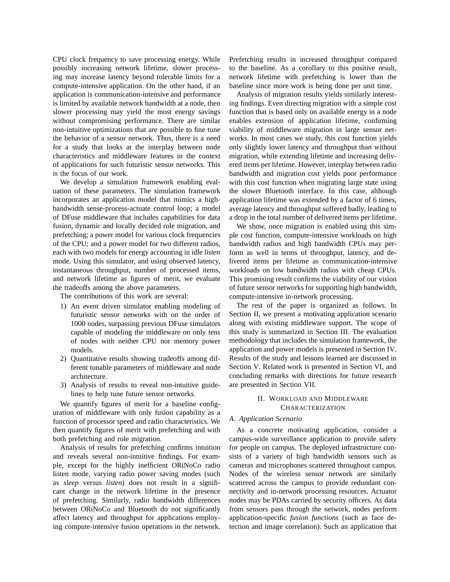CPU clock frequency to save processing energy. While possibly increasing network lifetime, slower processing may increase latency beyond tolerable limits for a compute-intensive application. On the other hand, if an application is communication-intensive and performance is limited by available network bandwidth at a node, then slower processing may yield the most energy savings without compromising performance. There are similar non-intuitive optimizations that are possible to fine tune the behavior of a sensor network. Thus, there is a need for a study that looks at the interplay between node characteristics and middleware features in the context of applications for such futuristic sensor networks. This is the focus of our work.

We develop a simulation framework enabling evaluation of these parameters. The simulation framework incorporates an application model that mimics a highbandwidth sense-process-actuate control loop; a model of DFuse middleware that includes capabilities for data fusion, dynamic and locally decided role migration, and prefetching; a power model for various clock frequencies of the CPU; and a power model for two different radios, each with two models for energy accounting in idle *listen* mode. Using this simulator, and using observed latency, instantaneous throughput, number of processed items, and network lifetime as figures of merit, we evaluate the tradeoffs among the above parameters.

The contributions of this work are several:

- 1) An event driven simulator enabling modeling of futuristic sensor networks with on the order of 1000 nodes, surpassing previous DFuse simulators capable of modeling the middleware on only tens of nodes with neither CPU nor memory power models.
- 2) Quantitative results showing tradeoffs among different tunable parameters of middleware and node architecture.
- 3) Analysis of results to reveal non-intuitive guidelines to help tune future sensor networks.

We quantify figures of merit for a baseline configuration of middleware with only fusion capability as a function of processor speed and radio characteristics. We then quantify figures of merit with prefetching and with both prefetching and role migration.

Analysis of results for prefetching confirms intuition and reveals several non-intuitive findings. For example, except for the highly inefficient ORiNoCo radio listen mode, varying radio power saving modes (such as *sleep* versus *listen*) does not result in a significant change in the network lifetime in the presence of prefetching. Similarly, radio bandwidth differences between ORiNoCo and Bluetooth do not significantly affect latency and throughput for applications employing compute-intensive fusion operations in the network. Prefetching results in increased throughput compared to the baseline. As a corollary to this positive result, network lifetime with prefetching is lower than the baseline since more work is being done per unit time.

Analysis of migration results yields similarly interesting findings. Even directing migration with a simple cost function that is based only on available energy in a node enables extension of application lifetime, confirming viability of middleware migration in large sensor networks. In most cases we study, this cost function yields only slightly lower latency and throughput than without migration, while extending lifetime and increasing delivered items per lifetime. However, interplay between radio bandwidth and migration cost yields poor performance with this cost function when migrating large state using the slower Bluetooth interface. In this case, although application lifetime was extended by a factor of 6 times, average latency and throughput suffered badly, leading to a drop in the total number of delivered items per lifetime.

We show, once migration is enabled using this simple cost function, compute-intensive workloads on high bandwidth radios and high bandwidth CPUs may perform as well in terms of throughput, latency, and delivered items per lifetime as communication-intensive workloads on low bandwidth radios with cheap CPUs. This promising result confirms the viability of our vision of future sensor networks for supporting high bandwidth, compute-intensive in-network processing.

The rest of the paper is organized as follows. In Section II, we present a motivating application scenario along with existing middleware support. The scope of this study is summarized in Section III. The evaluation methodology that includes the simulation framework, the application and power models is presented in Section IV. Results of the study and lessons learned are discussed in Section V. Related work is presented in Section VI, and concluding remarks with directions for future research are presented in Section VII.

## II. WORKLOAD AND MIDDLEWARE CHARACTERIZATION

## *A. Application Scenario*

As a concrete motivating application, consider a campus-wide surveillance application to provide safety for people on campus. The deployed infrastructure consists of a variety of high bandwidth sensors such as cameras and microphones scattered throughout campus. Nodes of the wireless sensor network are similarly scattered across the campus to provide redundant connectivity and in-network processing resources. Actuator nodes may be PDAs carried by security officers. As data from sensors pass through the network, nodes perform application-specific *fusion functions* (such as face detection and image correlation). Such an application that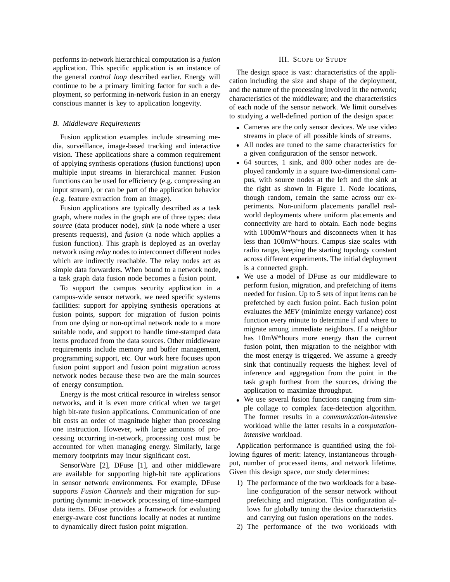performs in-network hierarchical computation is a *fusion* application. This specific application is an instance of the general *control loop* described earlier. Energy will continue to be a primary limiting factor for such a deployment, so performing in-network fusion in an energy conscious manner is key to application longevity.

### *B. Middleware Requirements*

Fusion application examples include streaming media, surveillance, image-based tracking and interactive vision. These applications share a common requirement of applying synthesis operations (fusion functions) upon multiple input streams in hierarchical manner. Fusion functions can be used for efficiency (e.g. compressing an input stream), or can be part of the application behavior (e.g. feature extraction from an image).

Fusion applications are typically described as a task graph, where nodes in the graph are of three types: data *source* (data producer node), *sink* (a node where a user presents requests), and *fusion* (a node which applies a fusion function). This graph is deployed as an overlay network using *relay* nodes to interconnect different nodes which are indirectly reachable. The relay nodes act as simple data forwarders. When bound to a network node, a task graph data fusion node becomes a fusion point.

To support the campus security application in a campus-wide sensor network, we need specific systems facilities: support for applying synthesis operations at fusion points, support for migration of fusion points from one dying or non-optimal network node to a more suitable node, and support to handle time-stamped data items produced from the data sources. Other middleware requirements include memory and buffer management, programming support, etc. Our work here focuses upon fusion point support and fusion point migration across network nodes because these two are the main sources of energy consumption.

Energy is *the* most critical resource in wireless sensor networks, and it is even more critical when we target high bit-rate fusion applications. Communication of one bit costs an order of magnitude higher than processing one instruction. However, with large amounts of processing occurring in-network, processing cost must be accounted for when managing energy. Similarly, large memory footprints may incur significant cost.

SensorWare [2], DFuse [1], and other middleware are available for supporting high-bit rate applications in sensor network environments. For example, DFuse supports *Fusion Channels* and their migration for supporting dynamic in-network processing of time-stamped data items. DFuse provides a framework for evaluating energy-aware cost functions locally at nodes at runtime to dynamically direct fusion point migration.

## III. SCOPE OF STUDY

The design space is vast: characteristics of the application including the size and shape of the deployment, and the nature of the processing involved in the network; characteristics of the middleware; and the characteristics of each node of the sensor network. We limit ourselves to studying a well-defined portion of the design space:

- Cameras are the only sensor devices. We use video streams in place of all possible kinds of streams.
- All nodes are tuned to the same characteristics for a given configuration of the sensor network.
- 64 sources, 1 sink, and 800 other nodes are deployed randomly in a square two-dimensional campus, with source nodes at the left and the sink at the right as shown in Figure 1. Node locations, though random, remain the same across our experiments. Non-uniform placements parallel realworld deployments where uniform placements and connectivity are hard to obtain. Each node begins with 1000mW\*hours and disconnects when it has less than 100mW\*hours. Campus size scales with radio range, keeping the starting topology constant across different experiments. The initial deployment is a connected graph.
- We use a model of DFuse as our middleware to perform fusion, migration, and prefetching of items needed for fusion. Up to 5 sets of input items can be prefetched by each fusion point. Each fusion point evaluates the *MEV* (minimize energy variance) cost function every minute to determine if and where to migrate among immediate neighbors. If a neighbor has 10mW\*hours more energy than the current fusion point, then migration to the neighbor with the most energy is triggered. We assume a greedy sink that continually requests the highest level of inference and aggregation from the point in the task graph furthest from the sources, driving the application to maximize throughput.
- We use several fusion functions ranging from simple collage to complex face-detection algorithm. The former results in a *communication-intensive* workload while the latter results in a *computationintensive* workload.

Application performance is quantified using the following figures of merit: latency, instantaneous throughput, number of processed items, and network lifetime. Given this design space, our study determines:

- 1) The performance of the two workloads for a baseline configuration of the sensor network without prefetching and migration. This configuration allows for globally tuning the device characteristics and carrying out fusion operations on the nodes.
- 2) The performance of the two workloads with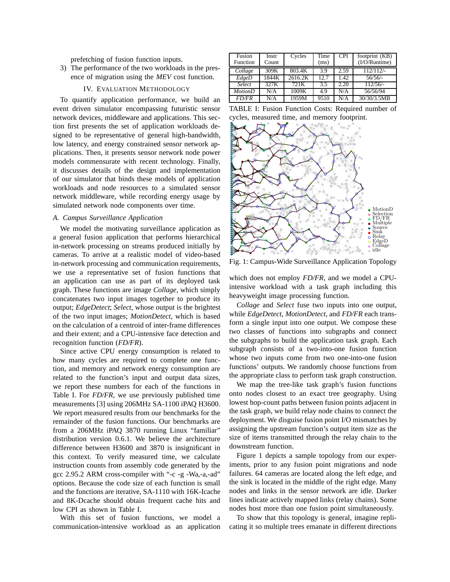prefetching of fusion function inputs.

3) The performance of the two workloads in the presence of migration using the *MEV* cost function.

## IV. EVALUATION METHODOLOGY

To quantify application performance, we build an event driven simulator encompassing futuristic sensor network devices, middleware and applications. This section first presents the set of application workloads designed to be representative of general high-bandwidth, low latency, and energy constrained sensor network applications. Then, it presents sensor network node power models commensurate with recent technology. Finally, it discusses details of the design and implementation of our simulator that binds these models of application workloads and node resources to a simulated sensor network middleware, while recording energy usage by simulated network node components over time.

## *A. Campus Surveillance Application*

We model the motivating surveillance application as a general fusion application that performs hierarchical in-network processing on streams produced initially by cameras. To arrive at a realistic model of video-based in-network processing and communication requirements, we use a representative set of fusion functions that an application can use as part of its deployed task graph. These functions are image *Collage*, which simply concatenates two input images together to produce its output; *EdgeDetect*; *Select*, whose output is the brightest of the two input images; *MotionDetect*, which is based on the calculation of a centroid of inter-frame differences and their extent; and a CPU-intensive face detection and recognition function (*FD/FR*).

Since active CPU energy consumption is related to how many cycles are required to complete one function, and memory and network energy consumption are related to the function's input and output data sizes, we report these numbers for each of the functions in Table I. For *FD/FR*, we use previously published time measurements [3] using 206MHz SA-1100 iPAQ H3600. We report measured results from our benchmarks for the remainder of the fusion functions. Our benchmarks are from a 206MHz iPAQ 3870 running Linux "familiar" distribution version 0.6.1. We believe the architecture difference between H3600 and 3870 is insignificant in this context. To verify measured time, we calculate instruction counts from assembly code generated by the gcc 2.95.2 ARM cross-compiler with "-c -g -Wa,-a,-ad" options. Because the code size of each function is small and the functions are iterative, SA-1110 with 16K-Icache and 8K-Dcache should obtain frequent cache hits and low CPI as shown in Table I.

With this set of fusion functions, we model a communication-intensive workload as an application

| Fusion<br>Function | Instr<br>Count | Cycles             | Time<br>(ms) | <b>CPI</b> | footprint (KB)<br>(I/O/Runtime) |
|--------------------|----------------|--------------------|--------------|------------|---------------------------------|
| Collage            | 309K           | 803.4K             | 39           | 2.59       | 112/112/                        |
| EdgeD              | 1844K          | 2616.2K            | 12.7         | 1.42       | 56/56/                          |
| Select             | 327K           | 721K               | 3.5          | 2.20       | 112/56/                         |
| <b>MotionD</b>     | N/A            | $100\overline{9K}$ | 4.9          | N/A        | 56/56/94                        |
| <i>FD/FR</i>       | N/A            | 1959M              | 9510         | N/A        | 30/30/3.5MB                     |

TABLE I: Fusion Function Costs: Required number of cycles, measured time, and memory footprint.



Fig. 1: Campus-Wide Surveillance Application Topology

which does not employ *FD/FR*, and we model a CPUintensive workload with a task graph including this heavyweight image processing function.

*Collage* and *Select* fuse two inputs into one output, while *EdgeDetect*, *MotionDetect*, and *FD/FR* each transform a single input into one output. We compose these two classes of functions into subgraphs and connect the subgraphs to build the application task graph. Each subgraph consists of a two-into-one fusion function whose two inputs come from two one-into-one fusion functions' outputs. We randomly choose functions from the appropriate class to perform task graph construction.

We map the tree-like task graph's fusion functions onto nodes closest to an exact tree geography. Using lowest hop-count paths between fusion points adjacent in the task graph, we build relay node chains to connect the deployment. We disguise fusion point I/O mismatches by assigning the upstream function's output item size as the size of items transmitted through the relay chain to the downstream function.

Figure 1 depicts a sample topology from our experiments, prior to any fusion point migrations and node failures. 64 cameras are located along the left edge, and the sink is located in the middle of the right edge. Many nodes and links in the sensor network are idle. Darker lines indicate actively mapped links (relay chains). Some nodes host more than one fusion point simultaneously.

To show that this topology is general, imagine replicating it so multiple trees emanate in different directions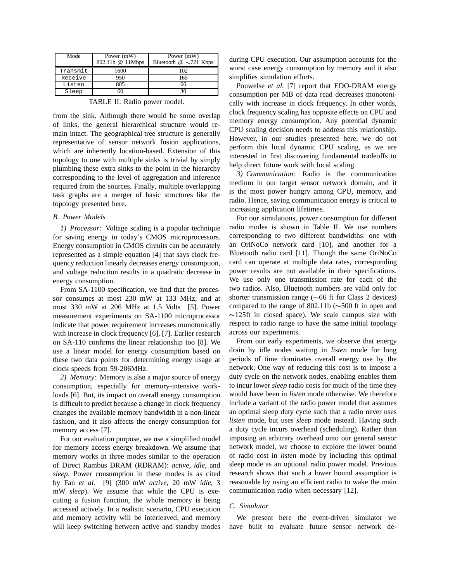| Mode     | Power (mW)<br>802.11b @ 11Mbps | Power (mW)<br>Bluetooth $\omega \sim 721$ Kbps |
|----------|--------------------------------|------------------------------------------------|
| Transmit | 1600.                          |                                                |
| Receive  | 950                            | 165                                            |
| Listen   | 805                            |                                                |
| Sleep    |                                | 30                                             |

TABLE II: Radio power model.

from the sink. Although there would be some overlap of links, the general hierarchical structure would remain intact. The geographical tree structure is generally representative of sensor network fusion applications, which are inherently location-based. Extension of this topology to one with multiple sinks is trivial by simply plumbing these extra sinks to the point in the hierarchy corresponding to the level of aggregation and inference required from the sources. Finally, multiple overlapping task graphs are a merger of basic structures like the topology presented here.

## *B. Power Models*

*1) Processor:* Voltage scaling is a popular technique for saving energy in today's CMOS microprocessors. Energy consumption in CMOS circuits can be accurately represented as a simple equation [4] that says clock frequency reduction linearly decreases energy consumption, and voltage reduction results in a quadratic decrease in energy consumption.

From SA-1100 specification, we find that the processor consumes at most 230 mW at 133 MHz, and at most 330 mW at 206 MHz at 1.5 Volts [5]. Power measurement experiments on SA-1100 microprocessor indicate that power requirement increases monotonically with increase in clock frequency [6], [7]. Earlier research on SA-110 confirms the linear relationship too [8]. We use a linear model for energy consumption based on these two data points for determining energy usage at clock speeds from 59-206MHz.

*2) Memory:* Memory is also a major source of energy consumption, especially for memory-intensive workloads [6]. But, its impact on overall energy consumption is difficult to predict because a change in clock frequency changes the available memory bandwidth in a non-linear fashion, and it also affects the energy consumption for memory access [7].

For our evaluation purpose, we use a simplified model for memory access energy breakdown. We assume that memory works in three modes similar to the operation of Direct Rambus DRAM (RDRAM): *active*, *idle*, and *sleep*. Power consumption in these modes is as cited by Fan *et al.* [9] (300 mW *active*, 20 mW *idle*, 3 mW *sleep*). We assume that while the CPU is executing a fusion function, the whole memory is being accessed actively. In a realistic scenario, CPU execution and memory activity will be interleaved, and memory will keep switching between active and standby modes during CPU execution. Our assumption accounts for the worst case energy consumption by memory and it also simplifies simulation efforts.

Pouwelse *et al.* [7] report that EDO-DRAM energy consumption per MB of data read decreases monotonically with increase in clock frequency. In other words, clock frequency scaling has opposite effects on CPU and memory energy consumption. Any potential dynamic CPU scaling decision needs to address this relationship. However, in our studies presented here, we do not perform this local dynamic CPU scaling, as we are interested in first discovering fundamental tradeoffs to help direct future work with local scaling.

*3) Communication:* Radio is the communication medium in our target sensor network domain, and it is the most power hungry among CPU, memory, and radio. Hence, saving communication energy is critical to increasing application lifetimes.

For our simulations, power consumption for different radio modes is shown in Table II. We use numbers corresponding to two different bandwidths: one with an OriNoCo network card [10], and another for a Bluetooth radio card [11]. Though the same OriNoCo card can operate at multiple data rates, corresponding power results are not available in their specifications. We use only one transmission rate for each of the two radios. Also, Bluetooth numbers are valid only for shorter transmission range ( 66 ft for Class 2 devices) compared to the range of  $802.11b$  ( $\sim$  500 ft in open and  $\sim$ 125ft in closed space). We scale campus size with respect to radio range to have the same initial topology across our experiments.

From our early experiments, we observe that energy drain by idle nodes waiting in *listen* mode for long periods of time dominates overall energy use by the network. One way of reducing this cost is to impose a duty cycle on the network nodes, enabling enables them to incur lower *sleep* radio costs for much of the time they would have been in *listen* mode otherwise. We therefore include a variant of the radio power model that assumes an optimal sleep duty cycle such that a radio never uses *listen* mode, but uses *sleep* mode instead. Having such a duty cycle incurs overhead (scheduling). Rather than imposing an arbitrary overhead onto our general sensor network model, we choose to explore the lower bound of radio cost in *listen* mode by including this optimal sleep mode as an optional radio power model. Previous research shows that such a lower bound assumption is reasonable by using an efficient radio to wake the main communication radio when necessary [12].

#### *C. Simulator*

We present here the event-driven simulator we have built to evaluate future sensor network de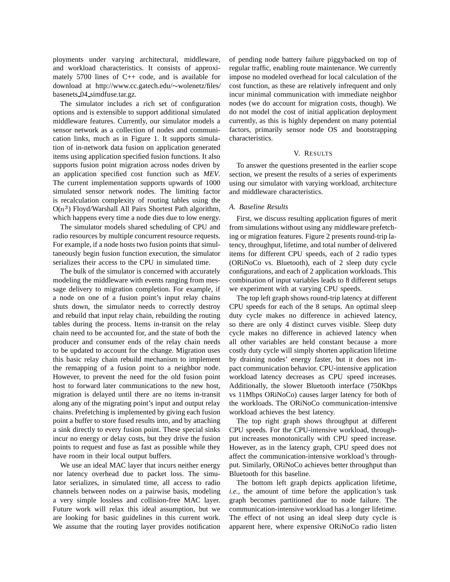ployments under varying architectural, middleware, and workload characteristics. It consists of approximately 5700 lines of C++ code, and is available for download at http://www.cc.gatech.edu/~wolenetz/files/ basenets 04 simdfuse.tar.gz.

The simulator includes a rich set of configuration options and is extensible to support additional simulated middleware features. Currently, our simulator models a sensor network as a collection of nodes and communication links, much as in Figure 1. It supports simulation of in-network data fusion on application generated items using application specified fusion functions. It also supports fusion point migration across nodes driven by an application specified cost function such as *MEV*. The current implementation supports upwards of 1000 simulated sensor network nodes. The limiting factor is recalculation complexity of routing tables using the  $O(n^3)$  Floyd/Warshall All Pairs Shortest Path algorithm, which happens every time a node dies due to low energy.

The simulator models shared scheduling of CPU and radio resources by multiple concurrent resource requests. For example, if a node hosts two fusion points that simultaneously begin fusion function execution, the simulator serializes their access to the CPU in simulated time.

The bulk of the simulator is concerned with accurately modeling the middleware with events ranging from message delivery to migration completion. For example, if a node on one of a fusion point's input relay chains shuts down, the simulator needs to correctly destroy and rebuild that input relay chain, rebuilding the routing tables during the process. Items in-transit on the relay chain need to be accounted for, and the state of both the producer and consumer ends of the relay chain needs to be updated to account for the change. Migration uses this basic relay chain rebuild mechanism to implement the remapping of a fusion point to a neighbor node. However, to prevent the need for the old fusion point host to forward later communications to the new host, migration is delayed until there are no items in-transit along any of the migrating point's input and output relay chains. Prefetching is implemented by giving each fusion point a buffer to store fused results into, and by attaching a sink directly to every fusion point. These special sinks incur no energy or delay costs, but they drive the fusion points to request and fuse as fast as possible while they have room in their local output buffers.

We use an ideal MAC layer that incurs neither energy nor latency overhead due to packet loss. The simulator serializes, in simulated time, all access to radio channels between nodes on a pairwise basis, modeling a very simple lossless and collision-free MAC layer. Future work will relax this ideal assumption, but we are looking for basic guidelines in this current work. We assume that the routing layer provides notification

of pending node battery failure piggybacked on top of regular traffic, enabling route maintenance. We currently impose no modeled overhead for local calculation of the cost function, as these are relatively infrequent and only incur minimal communication with immediate neighbor nodes (we do account for migration costs, though). We do not model the cost of initial application deployment currently, as this is highly dependent on many potential factors, primarily sensor node OS and bootstrapping characteristics.

### V. RESULTS

To answer the questions presented in the earlier scope section, we present the results of a series of experiments using our simulator with varying workload, architecture and middleware characteristics.

#### *A. Baseline Results*

First, we discuss resulting application figures of merit from simulations without using any middleware prefetching or migration features. Figure 2 presents round-trip latency, throughput, lifetime, and total number of delivered items for different CPU speeds, each of 2 radio types (ORiNoCo vs. Bluetooth), each of 2 sleep duty cycle configurations, and each of 2 application workloads. This combination of input variables leads to 8 different setups we experiment with at varying CPU speeds.

The top left graph shows round-trip latency at different CPU speeds for each of the 8 setups. An optimal sleep duty cycle makes no difference in achieved latency, so there are only 4 distinct curves visible. Sleep duty cycle makes no difference in achieved latency when all other variables are held constant because a more costly duty cycle will simply shorten application lifetime by draining nodes' energy faster, but it does not impact communication behavior. CPU-intensive application workload latency decreases as CPU speed increases. Additionally, the slower Bluetooth interface (750Kbps vs 11Mbps ORiNoCo) causes larger latency for both of the workloads. The ORiNoCo communication-intensive workload achieves the best latency.

The top right graph shows throughput at different CPU speeds. For the CPU-intensive workload, throughput increases monotonically with CPU speed increase. However, as in the latency graph, CPU speed does not affect the communication-intensive workload's throughput. Similarly, ORiNoCo achieves better throughput than Bluetooth for this baseline.

The bottom left graph depicts application lifetime, *i.e.*, the amount of time before the application's task graph becomes partitioned due to node failure. The communication-intensive workload has a longer lifetime. The effect of not using an ideal sleep duty cycle is apparent here, where expensive ORiNoCo radio listen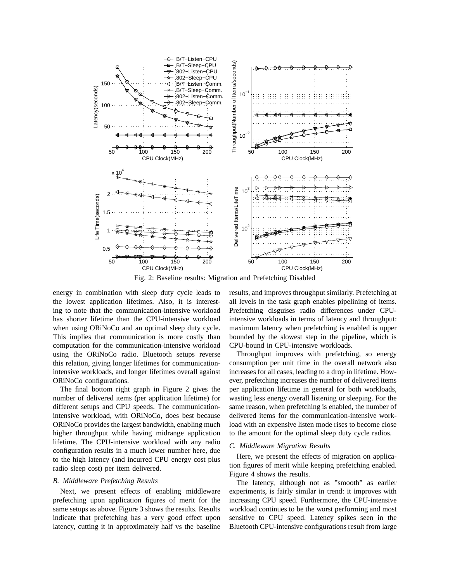

Fig. 2: Baseline results: Migration and Prefetching Disabled

energy in combination with sleep duty cycle leads to the lowest application lifetimes. Also, it is interesting to note that the communication-intensive workload has shorter lifetime than the CPU-intensive workload when using ORiNoCo and an optimal sleep duty cycle. This implies that communication is more costly than computation for the communication-intensive workload using the ORiNoCo radio. Bluetooth setups reverse this relation, giving longer lifetimes for communicationintensive workloads, and longer lifetimes overall against ORiNoCo configurations.

The final bottom right graph in Figure 2 gives the number of delivered items (per application lifetime) for different setups and CPU speeds. The communicationintensive workload, with ORiNoCo, does best because ORiNoCo provides the largest bandwidth, enabling much higher throughput while having midrange application lifetime. The CPU-intensive workload with any radio configuration results in a much lower number here, due to the high latency (and incurred CPU energy cost plus radio sleep cost) per item delivered.

#### *B. Middleware Prefetching Results*

Next, we present effects of enabling middleware prefetching upon application figures of merit for the same setups as above. Figure 3 shows the results. Results indicate that prefetching has a very good effect upon latency, cutting it in approximately half vs the baseline results, and improves throughput similarly. Prefetching at all levels in the task graph enables pipelining of items. Prefetching disguises radio differences under CPUintensive workloads in terms of latency and throughput: maximum latency when prefetching is enabled is upper bounded by the slowest step in the pipeline, which is CPU-bound in CPU-intensive workloads.

Throughput improves with prefetching, so energy consumption per unit time in the overall network also increases for all cases, leading to a drop in lifetime. However, prefetching increases the number of delivered items per application lifetime in general for both workloads, wasting less energy overall listening or sleeping. For the same reason, when prefetching is enabled, the number of delivered items for the communication-intensive workload with an expensive listen mode rises to become close to the amount for the optimal sleep duty cycle radios.

#### *C. Middleware Migration Results*

Here, we present the effects of migration on application figures of merit while keeping prefetching enabled. Figure 4 shows the results.

The latency, although not as "smooth" as earlier experiments, is fairly similar in trend: it improves with increasing CPU speed. Furthermore, the CPU-intensive workload continues to be the worst performing and most sensitive to CPU speed. Latency spikes seen in the Bluetooth CPU-intensive configurations result from large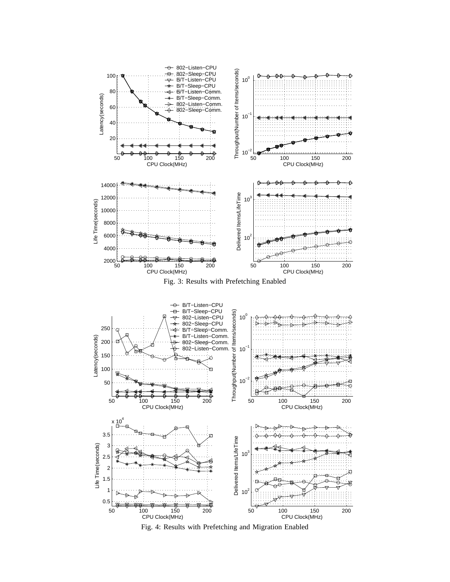

Fig. 4: Results with Prefetching and Migration Enabled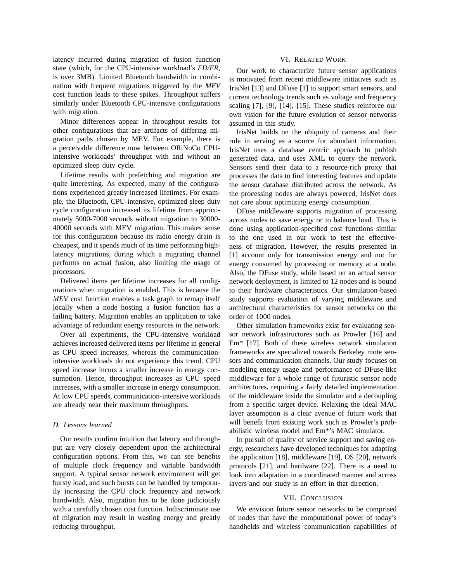latency incurred during migration of fusion function state (which, for the CPU-intensive workload's *FD/FR*, is over 3MB). Limited Bluetooth bandwidth in combination with frequent migrations triggered by the *MEV* cost function leads to these spikes. Throughput suffers similarly under Bluetooth CPU-intensive configurations with migration.

Minor differences appear in throughput results for other configurations that are artifacts of differing migration paths chosen by MEV. For example, there is a perceivable difference now between ORiNoCo CPUintensive workloads' throughput with and without an optimized sleep duty cycle.

Lifetime results with prefetching and migration are quite interesting. As expected, many of the configurations experienced greatly increased lifetimes. For example, the Bluetooth, CPU-intensive, optimized sleep duty cycle configuration increased its lifetime from approximately 5000-7000 seconds without migration to 30000- 40000 seconds with MEV migration. This makes sense for this configuration because its radio energy drain is cheapest, and it spends much of its time performing highlatency migrations, during which a migrating channel performs no actual fusion, also limiting the usage of processors.

Delivered items per lifetime increases for all configurations when migration is enabled. This is because the *MEV* cost function enables a task graph to remap itself locally when a node hosting a fusion function has a failing battery. Migration enables an application to take advantage of redundant energy resources in the network.

Over all experiments, the CPU-intensive workload achieves increased delivered items per lifetime in general as CPU speed increases, whereas the communicationintensive workloads do not experience this trend. CPU speed increase incurs a smaller increase in energy consumption. Hence, throughput increases as CPU speed increases, with a smaller increase in energy consumption. At low CPU speeds, communication-intensive workloads are already near their maximum throughputs.

## *D. Lessons learned*

Our results confirm intuition that latency and throughput are very closely dependent upon the architectural configuration options. From this, we can see benefits of multiple clock frequency and variable bandwidth support. A typical sensor network environment will get bursty load, and such bursts can be handled by temporarily increasing the CPU clock frequency and network bandwidth. Also, migration has to be done judiciously with a carefully chosen cost function. Indiscriminate use of migration may result in wasting energy and greatly reducing throughput.

### VI. RELATED WORK

Our work to characterize future sensor applications is motivated from recent middleware initiatives such as IrisNet [13] and DFuse [1] to support smart sensors, and current technology trends such as voltage and frequency scaling [7], [9], [14], [15]. These studies reinforce our own vision for the future evolution of sensor networks assumed in this study.

IrisNet builds on the ubiquity of cameras and their role in serving as a source for abundant information. IrisNet uses a database centric approach to publish generated data, and uses XML to query the network. Sensors send their data to a resource-rich proxy that processes the data to find interesting features and update the sensor database distributed across the network. As the processing nodes are always powered, IrisNet does not care about optimizing energy consumption.

DFuse middleware supports migration of processing across nodes to save energy or to balance load. This is done using application-specified cost functions similar to the one used in our work to test the effectiveness of migration. However, the results presented in [1] account only for transmission energy and not for energy consumed by processing or memory at a node. Also, the DFuse study, while based on an actual sensor network deployment, is limited to 12 nodes and is bound to their hardware characteristics. Our simulation-based study supports evaluation of varying middleware and architectural characteristics for sensor networks on the order of 1000 nodes.

Other simulation frameworks exist for evaluating sensor network infrastructures such as Prowler [16] and Em\* [17]. Both of these wireless network simulation frameworks are specialized towards Berkeley mote sensors and communication channels. Our study focuses on modeling energy usage and performance of DFuse-like middleware for a whole range of futuristic sensor node architectures, requiring a fairly detailed implementation of the middleware inside the simulator and a decoupling from a specific target device. Relaxing the ideal MAC layer assumption is a clear avenue of future work that will benefit from existing work such as Prowler's probabilistic wireless model and Em\*'s MAC simulator.

In pursuit of quality of service support and saving energy, researchers have developed techniques for adapting the application [18], middleware [19], OS [20], network protocols [21], and hardware [22]. There is a need to look into adaptation in a coordinated manner and across layers and our study is an effort in that direction.

#### VII. CONCLUSION

We envision future sensor networks to be comprised of nodes that have the computational power of today's handhelds and wireless communication capabilities of